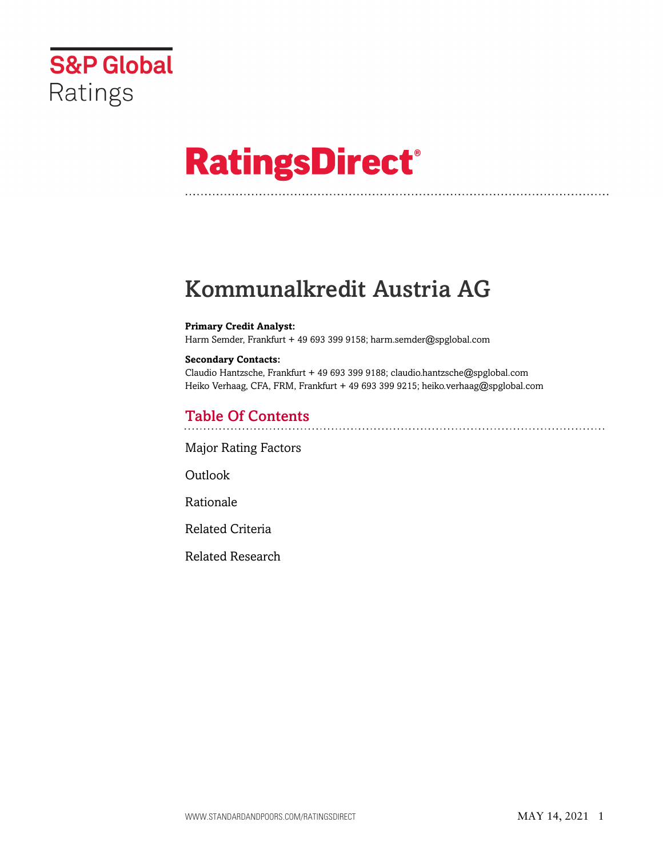

# **RatingsDirect®**

# Kommunalkredit Austria AG

#### **Primary Credit Analyst:**

Harm Semder, Frankfurt + 49 693 399 9158; harm.semder@spglobal.com

#### **Secondary Contacts:**

Claudio Hantzsche, Frankfurt + 49 693 399 9188; claudio.hantzsche@spglobal.com Heiko Verhaag, CFA, FRM, Frankfurt + 49 693 399 9215; heiko.verhaag@spglobal.com

### Table Of Contents

[Major Rating Factors](#page-1-0)

Outlook

[Rationale](#page-2-0)

[Related Criteria](#page-11-0)

[Related Research](#page-11-1)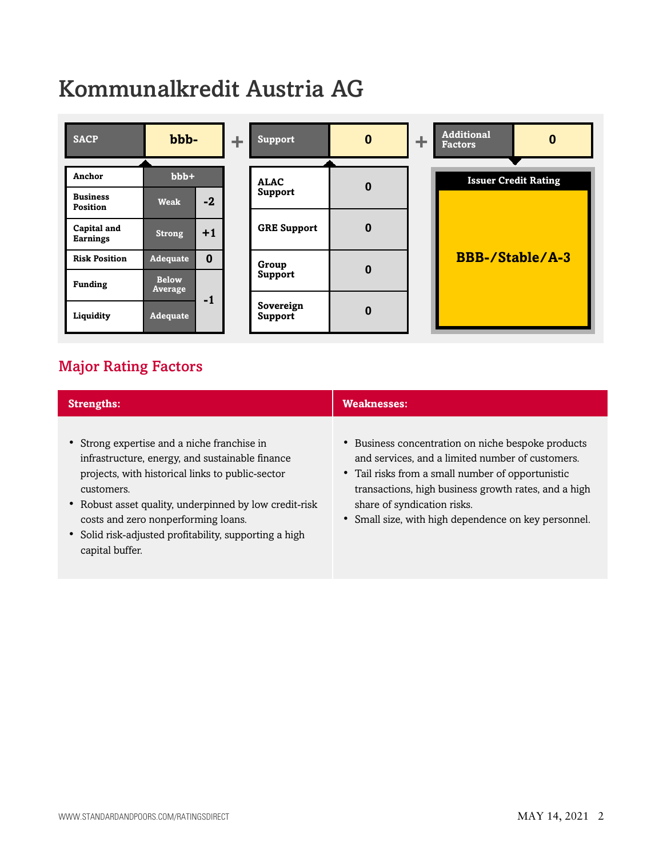# Kommunalkredit Austria AG



# <span id="page-1-0"></span>Major Rating Factors

| <b>Strengths:</b>                                                                                                                                                                                                                                                                                                                              | <b>Weaknesses:</b>                                                                                                                                                                                                                                                                                         |
|------------------------------------------------------------------------------------------------------------------------------------------------------------------------------------------------------------------------------------------------------------------------------------------------------------------------------------------------|------------------------------------------------------------------------------------------------------------------------------------------------------------------------------------------------------------------------------------------------------------------------------------------------------------|
| • Strong expertise and a niche franchise in<br>infrastructure, energy, and sustainable finance<br>projects, with historical links to public-sector<br>customers.<br>• Robust asset quality, underpinned by low credit-risk<br>costs and zero nonperforming loans.<br>• Solid risk-adjusted profitability, supporting a high<br>capital buffer. | • Business concentration on niche bespoke products<br>and services, and a limited number of customers.<br>• Tail risks from a small number of opportunistic<br>transactions, high business growth rates, and a high<br>share of syndication risks.<br>• Small size, with high dependence on key personnel. |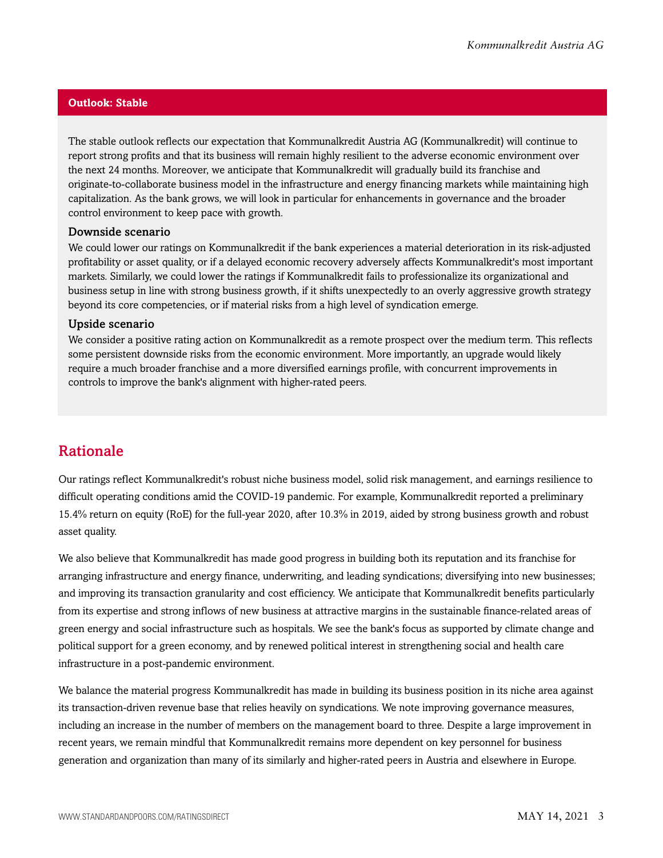#### **Outlook: Stable**

The stable outlook reflects our expectation that Kommunalkredit Austria AG (Kommunalkredit) will continue to report strong profits and that its business will remain highly resilient to the adverse economic environment over the next 24 months. Moreover, we anticipate that Kommunalkredit will gradually build its franchise and originate-to-collaborate business model in the infrastructure and energy financing markets while maintaining high capitalization. As the bank grows, we will look in particular for enhancements in governance and the broader control environment to keep pace with growth.

#### Downside scenario

We could lower our ratings on Kommunalkredit if the bank experiences a material deterioration in its risk-adjusted profitability or asset quality, or if a delayed economic recovery adversely affects Kommunalkredit's most important markets. Similarly, we could lower the ratings if Kommunalkredit fails to professionalize its organizational and business setup in line with strong business growth, if it shifts unexpectedly to an overly aggressive growth strategy beyond its core competencies, or if material risks from a high level of syndication emerge.

#### Upside scenario

We consider a positive rating action on Kommunalkredit as a remote prospect over the medium term. This reflects some persistent downside risks from the economic environment. More importantly, an upgrade would likely require a much broader franchise and a more diversified earnings profile, with concurrent improvements in controls to improve the bank's alignment with higher-rated peers.

### <span id="page-2-0"></span>Rationale

Our ratings reflect Kommunalkredit's robust niche business model, solid risk management, and earnings resilience to difficult operating conditions amid the COVID-19 pandemic. For example, Kommunalkredit reported a preliminary 15.4% return on equity (RoE) for the full-year 2020, after 10.3% in 2019, aided by strong business growth and robust asset quality.

We also believe that Kommunalkredit has made good progress in building both its reputation and its franchise for arranging infrastructure and energy finance, underwriting, and leading syndications; diversifying into new businesses; and improving its transaction granularity and cost efficiency. We anticipate that Kommunalkredit benefits particularly from its expertise and strong inflows of new business at attractive margins in the sustainable finance-related areas of green energy and social infrastructure such as hospitals. We see the bank's focus as supported by climate change and political support for a green economy, and by renewed political interest in strengthening social and health care infrastructure in a post-pandemic environment.

We balance the material progress Kommunalkredit has made in building its business position in its niche area against its transaction-driven revenue base that relies heavily on syndications. We note improving governance measures, including an increase in the number of members on the management board to three. Despite a large improvement in recent years, we remain mindful that Kommunalkredit remains more dependent on key personnel for business generation and organization than many of its similarly and higher-rated peers in Austria and elsewhere in Europe.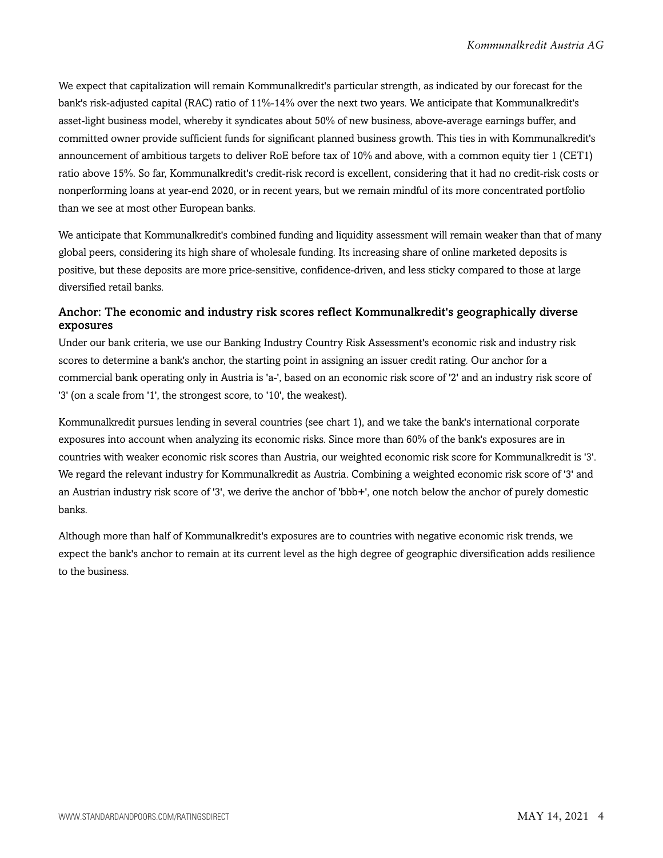We expect that capitalization will remain Kommunalkredit's particular strength, as indicated by our forecast for the bank's risk-adjusted capital (RAC) ratio of 11%-14% over the next two years. We anticipate that Kommunalkredit's asset-light business model, whereby it syndicates about 50% of new business, above-average earnings buffer, and committed owner provide sufficient funds for significant planned business growth. This ties in with Kommunalkredit's announcement of ambitious targets to deliver RoE before tax of 10% and above, with a common equity tier 1 (CET1) ratio above 15%. So far, Kommunalkredit's credit-risk record is excellent, considering that it had no credit-risk costs or nonperforming loans at year-end 2020, or in recent years, but we remain mindful of its more concentrated portfolio than we see at most other European banks.

We anticipate that Kommunalkredit's combined funding and liquidity assessment will remain weaker than that of many global peers, considering its high share of wholesale funding. Its increasing share of online marketed deposits is positive, but these deposits are more price-sensitive, confidence-driven, and less sticky compared to those at large diversified retail banks.

#### Anchor: The economic and industry risk scores reflect Kommunalkredit's geographically diverse exposures

Under our bank criteria, we use our Banking Industry Country Risk Assessment's economic risk and industry risk scores to determine a bank's anchor, the starting point in assigning an issuer credit rating. Our anchor for a commercial bank operating only in Austria is 'a-', based on an economic risk score of '2' and an industry risk score of '3' (on a scale from '1', the strongest score, to '10', the weakest).

Kommunalkredit pursues lending in several countries (see chart 1), and we take the bank's international corporate exposures into account when analyzing its economic risks. Since more than 60% of the bank's exposures are in countries with weaker economic risk scores than Austria, our weighted economic risk score for Kommunalkredit is '3'. We regard the relevant industry for Kommunalkredit as Austria. Combining a weighted economic risk score of '3' and an Austrian industry risk score of '3', we derive the anchor of 'bbb+', one notch below the anchor of purely domestic banks.

Although more than half of Kommunalkredit's exposures are to countries with negative economic risk trends, we expect the bank's anchor to remain at its current level as the high degree of geographic diversification adds resilience to the business.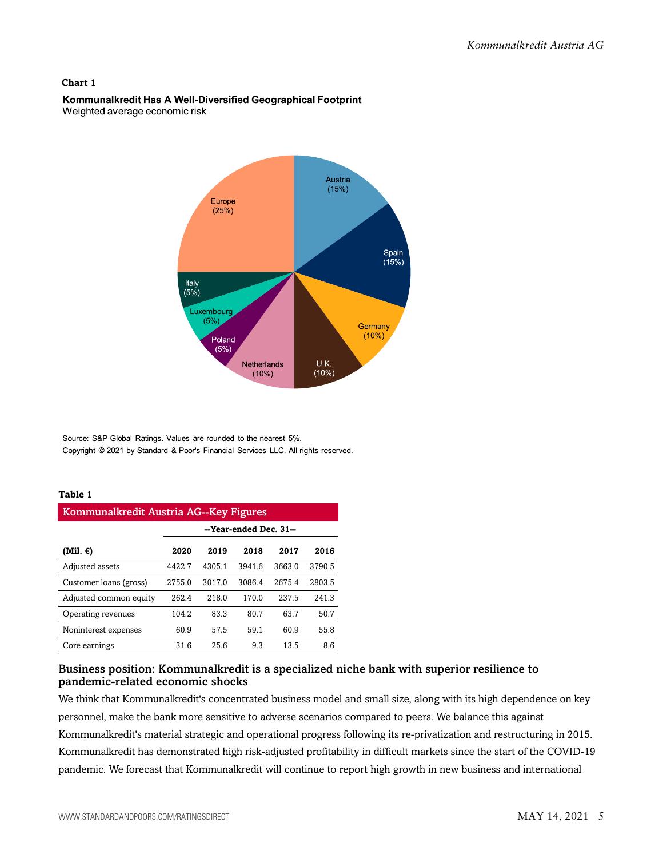#### **Chart 1**

#### Kommunalkredit Has A Well-Diversified Geographical Footprint Weighted average economic risk



Source: S&P Global Ratings. Values are rounded to the nearest 5%. Copyright @ 2021 by Standard & Poor's Financial Services LLC. All rights reserved.

#### **Table 1**

| Kommunalkredit Austria AG--Key Figures |                        |        |        |        |        |  |  |
|----------------------------------------|------------------------|--------|--------|--------|--------|--|--|
|                                        | --Year-ended Dec. 31-- |        |        |        |        |  |  |
| (Mil. €)                               | 2020                   | 2019   | 2018   | 2017   | 2016   |  |  |
| Adjusted assets                        | 4422.7                 | 4305.1 | 3941.6 | 3663.0 | 3790.5 |  |  |
| Customer loans (gross)                 | 2755.0                 | 3017.0 | 3086.4 | 2675.4 | 2803.5 |  |  |
| Adjusted common equity                 | 262.4                  | 218.0  | 170.0  | 237.5  | 241.3  |  |  |
| Operating revenues                     | 104.2                  | 83.3   | 80.7   | 63.7   | 50.7   |  |  |
| Noninterest expenses                   | 60.9                   | 57.5   | 59.1   | 60.9   | 55.8   |  |  |
| Core earnings                          | 31.6                   | 25.6   | 9.3    | 13.5   | 8.6    |  |  |

#### Business position: Kommunalkredit is a specialized niche bank with superior resilience to pandemic-related economic shocks

We think that Kommunalkredit's concentrated business model and small size, along with its high dependence on key personnel, make the bank more sensitive to adverse scenarios compared to peers. We balance this against Kommunalkredit's material strategic and operational progress following its re-privatization and restructuring in 2015. Kommunalkredit has demonstrated high risk-adjusted profitability in difficult markets since the start of the COVID-19 pandemic. We forecast that Kommunalkredit will continue to report high growth in new business and international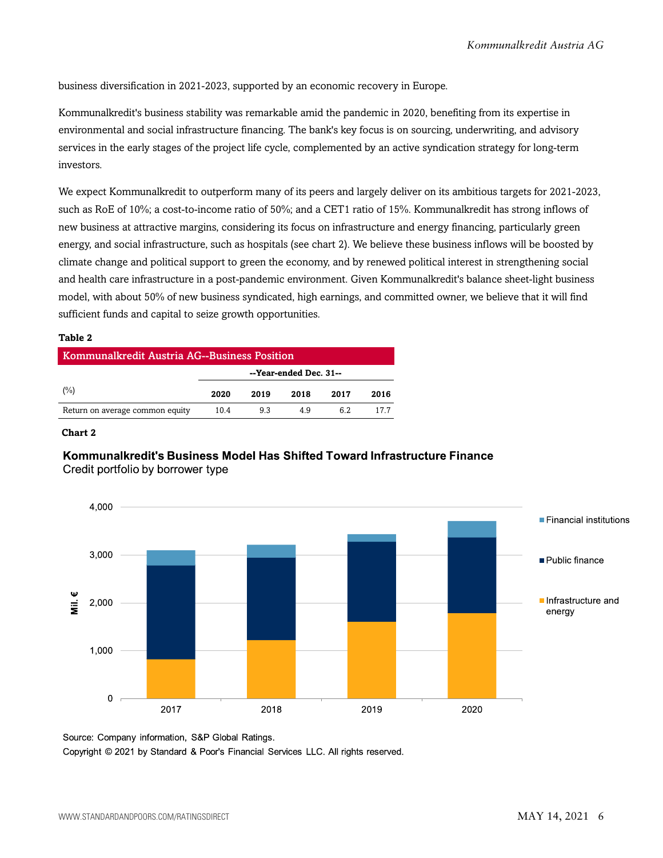business diversification in 2021-2023, supported by an economic recovery in Europe.

Kommunalkredit's business stability was remarkable amid the pandemic in 2020, benefiting from its expertise in environmental and social infrastructure financing. The bank's key focus is on sourcing, underwriting, and advisory services in the early stages of the project life cycle, complemented by an active syndication strategy for long-term investors.

We expect Kommunalkredit to outperform many of its peers and largely deliver on its ambitious targets for 2021-2023, such as RoE of 10%; a cost-to-income ratio of 50%; and a CET1 ratio of 15%. Kommunalkredit has strong inflows of new business at attractive margins, considering its focus on infrastructure and energy financing, particularly green energy, and social infrastructure, such as hospitals (see chart 2). We believe these business inflows will be boosted by climate change and political support to green the economy, and by renewed political interest in strengthening social and health care infrastructure in a post-pandemic environment. Given Kommunalkredit's balance sheet-light business model, with about 50% of new business syndicated, high earnings, and committed owner, we believe that it will find sufficient funds and capital to seize growth opportunities.

#### **Table 2**

| Kommunalkredit Austria AG--Business Position |                        |      |      |      |      |  |  |
|----------------------------------------------|------------------------|------|------|------|------|--|--|
|                                              | --Year-ended Dec. 31-- |      |      |      |      |  |  |
| (%)                                          | 2020                   | 2019 | 2018 | 2017 | 2016 |  |  |
| Return on average common equity              | 10.4                   | 9.3  | 49   | 62   | 177  |  |  |

#### **Chart 2**

#### Kommunalkredit's Business Model Has Shifted Toward Infrastructure Finance Credit portfolio by borrower type



Source: Company information, S&P Global Ratings.

Copyright © 2021 by Standard & Poor's Financial Services LLC. All rights reserved.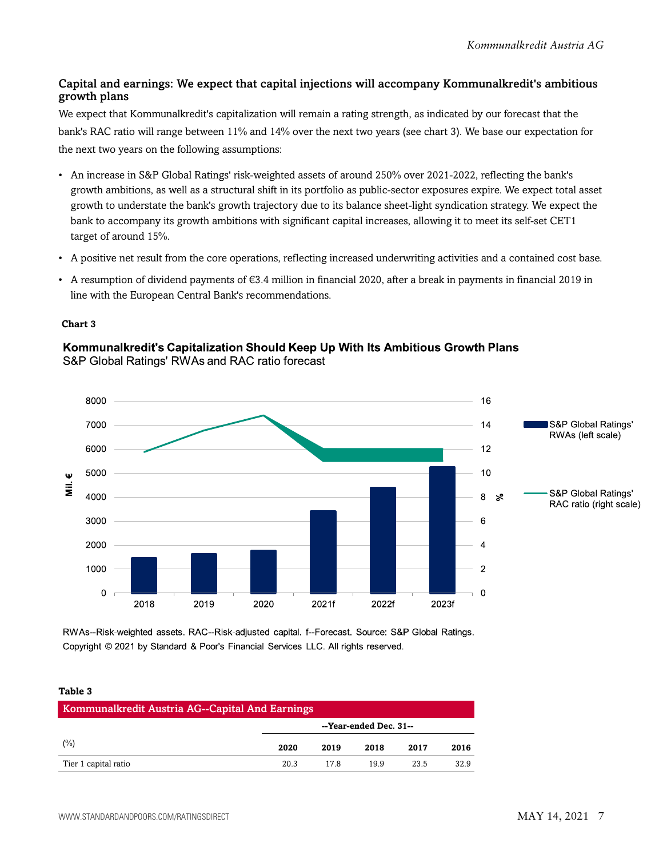#### Capital and earnings: We expect that capital injections will accompany Kommunalkredit's ambitious growth plans

We expect that Kommunalkredit's capitalization will remain a rating strength, as indicated by our forecast that the bank's RAC ratio will range between 11% and 14% over the next two years (see chart 3). We base our expectation for the next two years on the following assumptions:

- An increase in S&P Global Ratings' risk-weighted assets of around 250% over 2021-2022, reflecting the bank's growth ambitions, as well as a structural shift in its portfolio as public-sector exposures expire. We expect total asset growth to understate the bank's growth trajectory due to its balance sheet-light syndication strategy. We expect the bank to accompany its growth ambitions with significant capital increases, allowing it to meet its self-set CET1 target of around 15%.
- A positive net result from the core operations, reflecting increased underwriting activities and a contained cost base.
- A resumption of dividend payments of €3.4 million in financial 2020, after a break in payments in financial 2019 in line with the European Central Bank's recommendations.

#### **Chart 3**

#### Kommunalkredit's Capitalization Should Keep Up With Its Ambitious Growth Plans S&P Global Ratings' RWAs and RAC ratio forecast



RWAs--Risk-weighted assets. RAC--Risk-adjusted capital. f--Forecast. Source: S&P Global Ratings. Copyright © 2021 by Standard & Poor's Financial Services LLC. All rights reserved.

#### **Table 3**

| Kommunalkredit Austria AG--Capital And Earnings |                        |      |      |      |      |  |
|-------------------------------------------------|------------------------|------|------|------|------|--|
|                                                 | --Year-ended Dec. 31-- |      |      |      |      |  |
| (%)                                             | 2020                   | 2019 | 2018 | 2017 | 2016 |  |
| Tier 1 capital ratio                            | 20.3                   | 17 R | 199  | 23.5 | 32.9 |  |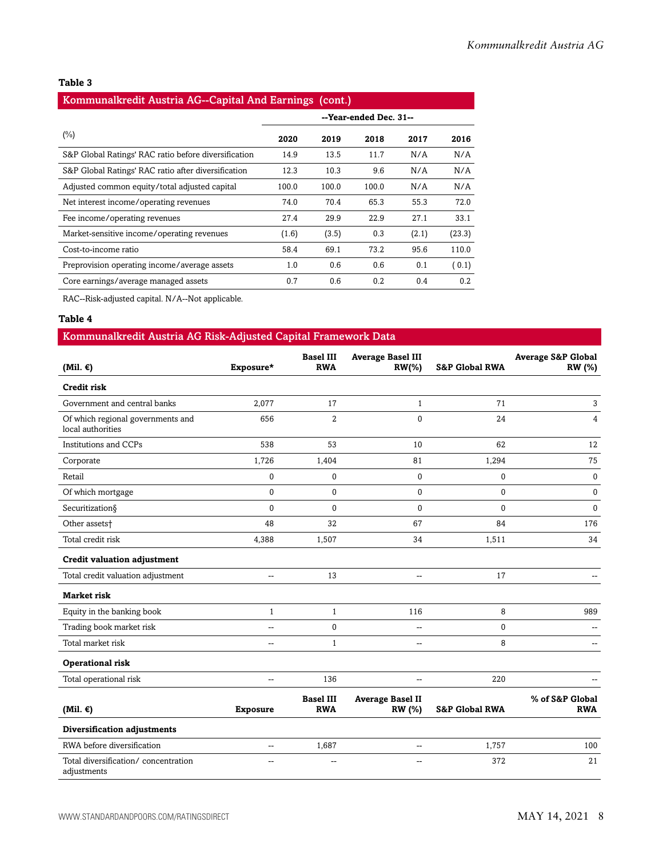#### **Table 3**

#### Kommunalkredit Austria AG--Capital And Earnings (cont.)

| $(\%)$                                               | 2020  | 2019  | 2018  | 2017  | 2016   |
|------------------------------------------------------|-------|-------|-------|-------|--------|
| S&P Global Ratings' RAC ratio before diversification | 14.9  | 13.5  | 11.7  | N/A   | N/A    |
| S&P Global Ratings' RAC ratio after diversification  | 12.3  | 10.3  | 9.6   | N/A   | N/A    |
| Adjusted common equity/total adjusted capital        | 100.0 | 100.0 | 100.0 | N/A   | N/A    |
| Net interest income/operating revenues               | 74.0  | 70.4  | 65.3  | 55.3  | 72.0   |
| Fee income/operating revenues                        | 27.4  | 29.9  | 22.9  | 27.1  | 33.1   |
| Market-sensitive income/operating revenues           | (1.6) | (3.5) | 0.3   | (2.1) | (23.3) |
| Cost-to-income ratio                                 | 58.4  | 69.1  | 73.2  | 95.6  | 110.0  |
| Preprovision operating income/average assets         | 1.0   | 0.6   | 0.6   | 0.1   | (0.1)  |
| Core earnings/average managed assets                 | 0.7   | 0.6   | 0.2   | 0.4   | 0.2    |

RAC--Risk-adjusted capital. N/A--Not applicable.

#### **Table 4**

| Kommunalkredit Austria AG Risk-Adjusted Capital Framework Data |                 |                                |                                       |                           |                                                |  |
|----------------------------------------------------------------|-----------------|--------------------------------|---------------------------------------|---------------------------|------------------------------------------------|--|
| (Mil. $\epsilon$ )                                             | Exposure*       | <b>Basel III</b><br><b>RWA</b> | <b>Average Basel III</b><br>$RW(\% )$ | <b>S&amp;P Global RWA</b> | <b>Average S&amp;P Global</b><br><b>RW</b> (%) |  |
| Credit risk                                                    |                 |                                |                                       |                           |                                                |  |
| Government and central banks                                   | 2,077           | 17                             | $\mathbf{1}$                          | 71                        | 3                                              |  |
| Of which regional governments and<br>local authorities         | 656             | $\overline{2}$                 | $\Omega$                              | 24                        | $\overline{4}$                                 |  |
| <b>Institutions and CCPs</b>                                   | 538             | 53                             | 10                                    | 62                        | 12                                             |  |
| Corporate                                                      | 1,726           | 1,404                          | 81                                    | 1,294                     | 75                                             |  |
| Retail                                                         | $\pmb{0}$       | 0                              | 0                                     | 0                         | $\mathbf 0$                                    |  |
| Of which mortgage                                              | $\mathbf{0}$    | $\Omega$                       | $\mathbf{0}$                          | $\Omega$                  | $\bf{0}$                                       |  |
| Securitization§                                                | $\Omega$        | $\Omega$                       | $\Omega$                              | $\Omega$                  | $\mathbf{0}$                                   |  |
| Other assets <sup>+</sup>                                      | 48              | 32                             | 67                                    | 84                        | 176                                            |  |
| Total credit risk                                              | 4.388           | 1,507                          | 34                                    | 1,511                     | 34                                             |  |
| <b>Credit valuation adjustment</b>                             |                 |                                |                                       |                           |                                                |  |
| Total credit valuation adjustment                              | Щ,              | 13                             | $\overline{\phantom{a}}$              | 17                        |                                                |  |
| <b>Market risk</b>                                             |                 |                                |                                       |                           |                                                |  |
| Equity in the banking book                                     | $\mathbf{1}$    | $\mathbf{1}$                   | 116                                   | 8                         | 989                                            |  |
| Trading book market risk                                       | $\overline{a}$  | 0                              | $\overline{\phantom{a}}$              | $\Omega$                  |                                                |  |
| Total market risk                                              | $\overline{a}$  | $\mathbf{1}$                   | $\overline{\phantom{a}}$              | 8                         |                                                |  |
| Operational risk                                               |                 |                                |                                       |                           |                                                |  |
| Total operational risk                                         | $\overline{a}$  | 136                            | $\overline{\phantom{a}}$              | 220                       |                                                |  |
|                                                                |                 | <b>Basel III</b>               | <b>Average Basel II</b>               |                           | % of S&P Global                                |  |
| (Mil. $\epsilon$ )                                             | <b>Exposure</b> | <b>RWA</b>                     | RW (%)                                | <b>S&amp;P Global RWA</b> | <b>RWA</b>                                     |  |
| Diversification adjustments                                    |                 |                                |                                       |                           |                                                |  |
| RWA before diversification                                     | $\overline{a}$  | 1,687                          | --                                    | 1,757                     | 100                                            |  |
| Total diversification/concentration<br>adjustments             | $\overline{a}$  | $\overline{\phantom{a}}$       | --                                    | 372                       | 21                                             |  |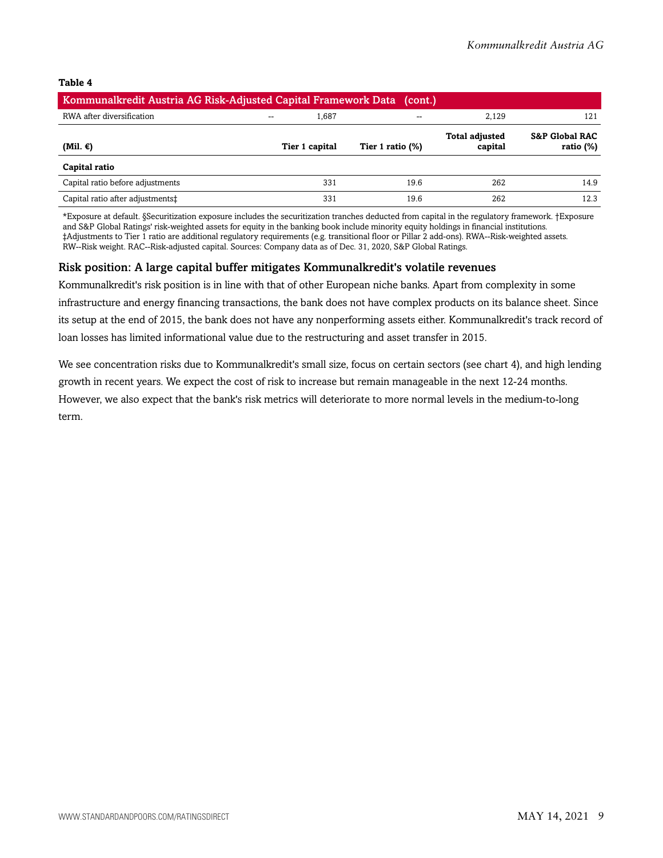#### **Table 4**

| Kommunalkredit Austria AG Risk-Adjusted Capital Framework Data (cont.) |                |                          |                                  |                                           |
|------------------------------------------------------------------------|----------------|--------------------------|----------------------------------|-------------------------------------------|
| RWA after diversification                                              | 1.687<br>--    | $\overline{\phantom{a}}$ | 2.129                            | 121                                       |
| (Mil. €)                                                               | Tier 1 capital | Tier 1 ratio $(\%)$      | <b>Total adjusted</b><br>capital | <b>S&amp;P Global RAC</b><br>ratio $(\%)$ |
| Capital ratio                                                          |                |                          |                                  |                                           |
| Capital ratio before adjustments                                       | 331            | 19.6                     | 262                              | 14.9                                      |
| Capital ratio after adjustments‡                                       | 331            | 19.6                     | 262                              | 12.3                                      |

\*Exposure at default. §Securitization exposure includes the securitization tranches deducted from capital in the regulatory framework. †Exposure and S&P Global Ratings' risk-weighted assets for equity in the banking book include minority equity holdings in financial institutions. ‡Adjustments to Tier 1 ratio are additional regulatory requirements (e.g. transitional floor or Pillar 2 add-ons). RWA--Risk-weighted assets. RW--Risk weight. RAC--Risk-adjusted capital. Sources: Company data as of Dec. 31, 2020, S&P Global Ratings.

#### Risk position: A large capital buffer mitigates Kommunalkredit's volatile revenues

Kommunalkredit's risk position is in line with that of other European niche banks. Apart from complexity in some infrastructure and energy financing transactions, the bank does not have complex products on its balance sheet. Since its setup at the end of 2015, the bank does not have any nonperforming assets either. Kommunalkredit's track record of loan losses has limited informational value due to the restructuring and asset transfer in 2015.

We see concentration risks due to Kommunalkredit's small size, focus on certain sectors (see chart 4), and high lending growth in recent years. We expect the cost of risk to increase but remain manageable in the next 12-24 months. However, we also expect that the bank's risk metrics will deteriorate to more normal levels in the medium-to-long term.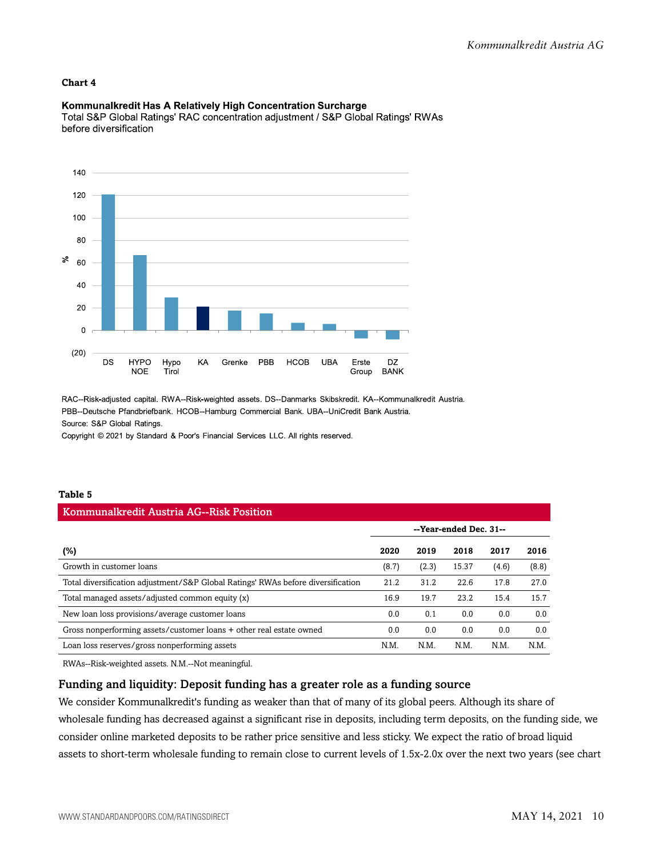#### **Chart 4**

#### Kommunalkredit Has A Relatively High Concentration Surcharge

Total S&P Global Ratings' RAC concentration adjustment / S&P Global Ratings' RWAs before diversification



RAC--Risk-adjusted capital. RWA--Risk-weighted assets. DS--Danmarks Skibskredit. KA--Kommunalkredit Austria. PBB--Deutsche Pfandbriefbank. HCOB--Hamburg Commercial Bank. UBA--UniCredit Bank Austria. Source: S&P Global Ratings.

Copyright © 2021 by Standard & Poor's Financial Services LLC. All rights reserved.

#### **Table 5**

# Kommunalkredit Austria AG--Risk Position

|                                                                                  |       |       | --Year-ended Dec. 31-- |       |       |
|----------------------------------------------------------------------------------|-------|-------|------------------------|-------|-------|
| (%)                                                                              | 2020  | 2019  | 2018                   | 2017  | 2016  |
| Growth in customer loans                                                         | (8.7) | (2.3) | 15.37                  | (4.6) | (8.8) |
| Total diversification adjustment/S&P Global Ratings' RWAs before diversification | 21.2  | 31.2  | 22.6                   | 17.8  | 27.0  |
| Total managed assets/adjusted common equity (x)                                  | 16.9  | 19.7  | 23.2                   | 15.4  | 15.7  |
| New loan loss provisions/average customer loans                                  | 0.0   | 0.1   | 0.0                    | 0.0   | 0.0   |
| Gross nonperforming assets/customer loans + other real estate owned              | 0.0   | 0.0   | 0.0                    | 0.0   | 0.0   |
| Loan loss reserves/gross nonperforming assets                                    | N.M.  | N.M   | N.M.                   | N.M   | N.M.  |

RWAs--Risk-weighted assets. N.M.--Not meaningful.

#### Funding and liquidity: Deposit funding has a greater role as a funding source

We consider Kommunalkredit's funding as weaker than that of many of its global peers. Although its share of wholesale funding has decreased against a significant rise in deposits, including term deposits, on the funding side, we consider online marketed deposits to be rather price sensitive and less sticky. We expect the ratio of broad liquid assets to short-term wholesale funding to remain close to current levels of 1.5x-2.0x over the next two years (see chart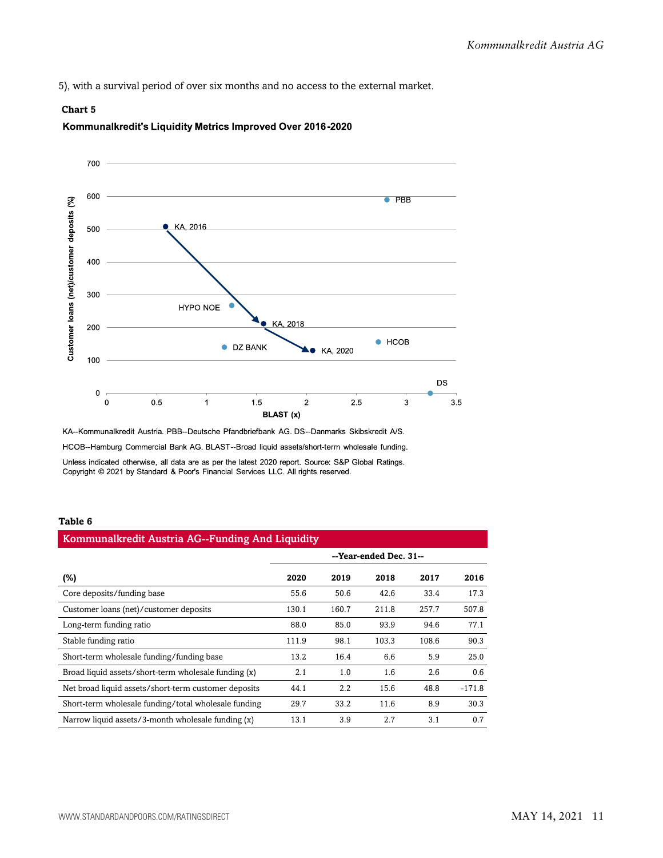5), with a survival period of over six months and no access to the external market.

#### **Chart 5**





KA--Kommunalkredit Austria. PBB--Deutsche Pfandbriefbank AG. DS--Danmarks Skibskredit A/S. HCOB--Hamburg Commercial Bank AG. BLAST--Broad liquid assets/short-term wholesale funding. Unless indicated otherwise, all data are as per the latest 2020 report. Source: S&P Global Ratings. Copyright © 2021 by Standard & Poor's Financial Services LLC. All rights reserved.

#### **Table 6**

| Kommunalkredit Austria AG--Funding And Liquidity     |                        |         |       |       |          |  |  |
|------------------------------------------------------|------------------------|---------|-------|-------|----------|--|--|
|                                                      | --Year-ended Dec. 31-- |         |       |       |          |  |  |
| (%)                                                  | 2020                   | 2019    | 2018  | 2017  | 2016     |  |  |
| Core deposits/funding base                           | 55.6                   | 50.6    | 42.6  | 33.4  | 17.3     |  |  |
| Customer loans (net)/customer deposits               | 130.1                  | 160.7   | 211.8 | 257.7 | 507.8    |  |  |
| Long-term funding ratio                              | 88.0                   | 85.0    | 93.9  | 94.6  | 77.1     |  |  |
| Stable funding ratio                                 | 111.9                  | 98.1    | 103.3 | 108.6 | 90.3     |  |  |
| Short-term wholesale funding/funding base            | 13.2                   | 16.4    | 6.6   | 5.9   | 25.0     |  |  |
| Broad liquid assets/short-term wholesale funding (x) | 2.1                    | 1.0     | 1.6   | 2.6   | 0.6      |  |  |
| Net broad liquid assets/short-term customer deposits | 44.1                   | $2.2\,$ | 15.6  | 48.8  | $-171.8$ |  |  |
| Short-term wholesale funding/total wholesale funding | 29.7                   | 33.2    | 11.6  | 8.9   | 30.3     |  |  |
| Narrow liquid assets/3-month wholesale funding (x)   | 13.1                   | 3.9     | 2.7   | 3.1   | 0.7      |  |  |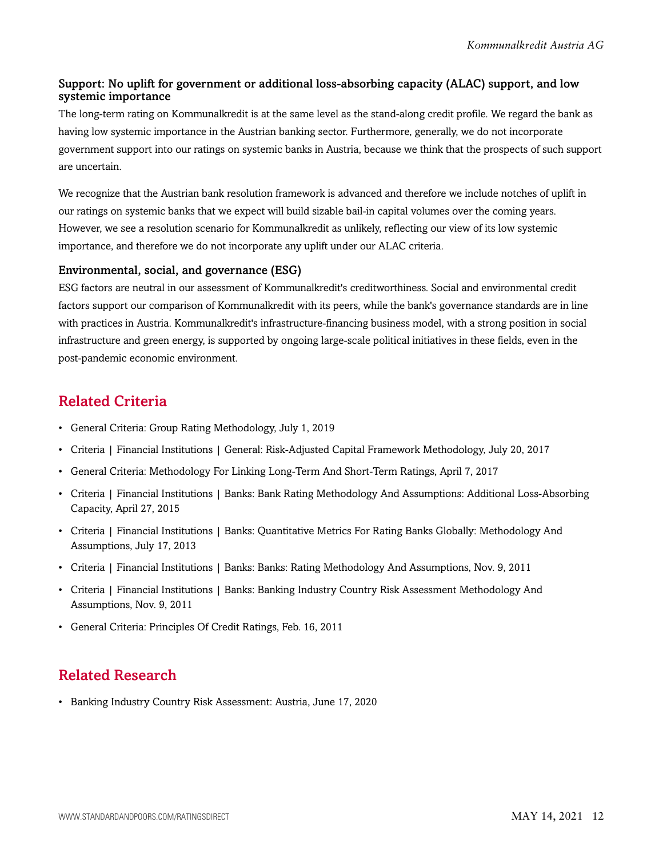#### Support: No uplift for government or additional loss-absorbing capacity (ALAC) support, and low systemic importance

The long-term rating on Kommunalkredit is at the same level as the stand-along credit profile. We regard the bank as having low systemic importance in the Austrian banking sector. Furthermore, generally, we do not incorporate government support into our ratings on systemic banks in Austria, because we think that the prospects of such support are uncertain.

We recognize that the Austrian bank resolution framework is advanced and therefore we include notches of uplift in our ratings on systemic banks that we expect will build sizable bail-in capital volumes over the coming years. However, we see a resolution scenario for Kommunalkredit as unlikely, reflecting our view of its low systemic importance, and therefore we do not incorporate any uplift under our ALAC criteria.

#### Environmental, social, and governance (ESG)

ESG factors are neutral in our assessment of Kommunalkredit's creditworthiness. Social and environmental credit factors support our comparison of Kommunalkredit with its peers, while the bank's governance standards are in line with practices in Austria. Kommunalkredit's infrastructure-financing business model, with a strong position in social infrastructure and green energy, is supported by ongoing large-scale political initiatives in these fields, even in the post-pandemic economic environment.

## <span id="page-11-0"></span>Related Criteria

- General Criteria: Group Rating Methodology, July 1, 2019
- Criteria | Financial Institutions | General: Risk-Adjusted Capital Framework Methodology, July 20, 2017
- General Criteria: Methodology For Linking Long-Term And Short-Term Ratings, April 7, 2017
- Criteria | Financial Institutions | Banks: Bank Rating Methodology And Assumptions: Additional Loss-Absorbing Capacity, April 27, 2015
- Criteria | Financial Institutions | Banks: Quantitative Metrics For Rating Banks Globally: Methodology And Assumptions, July 17, 2013
- Criteria | Financial Institutions | Banks: Banks: Rating Methodology And Assumptions, Nov. 9, 2011
- Criteria | Financial Institutions | Banks: Banking Industry Country Risk Assessment Methodology And Assumptions, Nov. 9, 2011
- General Criteria: Principles Of Credit Ratings, Feb. 16, 2011

# <span id="page-11-1"></span>Related Research

• Banking Industry Country Risk Assessment: Austria, June 17, 2020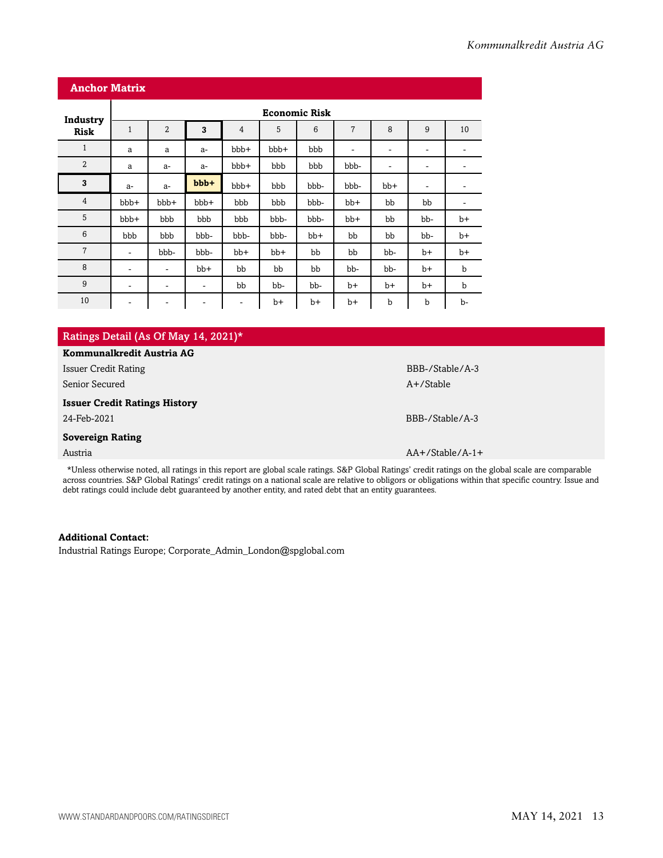|                         | <b>Anchor Matrix</b>     |                              |                          |                          |       |                      |                          |                          |                          |      |
|-------------------------|--------------------------|------------------------------|--------------------------|--------------------------|-------|----------------------|--------------------------|--------------------------|--------------------------|------|
|                         |                          |                              |                          |                          |       | <b>Economic Risk</b> |                          |                          |                          |      |
| Industry<br><b>Risk</b> | $\mathbf{1}$             | $\overline{2}$               | 3                        | $\overline{4}$           | 5     | 6                    | $\overline{7}$           | 8                        | 9                        | 10   |
| $\mathbf{1}$            | a                        | a                            | $a-$                     | bbb+                     | bbb+  | bbb                  | $\overline{\phantom{a}}$ | $\overline{\phantom{a}}$ | $\overline{\phantom{a}}$ | -    |
| $\overline{2}$          | a                        | $a-$                         | $a-$                     | bbb+                     | bbb   | bbb                  | bbb-                     | $\overline{\phantom{a}}$ | $\overline{\phantom{a}}$ | ۰    |
| 3                       | $a-$                     | $a-$                         | $bbb +$                  | bbb+                     | bbb   | bbb-                 | bbb-                     | $bb+$                    | -                        | -    |
| $\overline{4}$          | bbb+                     | bbb+                         | bbb+                     | bbb                      | bbb   | bbb-                 | $bb+$                    | bb                       | bb                       | ٠    |
| 5                       | bbb+                     | bbb                          | bbb                      | bbb                      | bbb-  | bbb-                 | $bb+$                    | bb                       | bb-                      | $b+$ |
| 6                       | bbb                      | bbb                          | bbb-                     | bbb-                     | bbb-  | $bb+$                | bb                       | bb                       | bb-                      | $b+$ |
| $\overline{7}$          | $\overline{\phantom{a}}$ | bbb-                         | bbb-                     | $bb+$                    | $bb+$ | bb                   | bb                       | bb-                      | b+                       | $b+$ |
| 8                       | $\overline{\phantom{a}}$ | ٠                            | $bb+$                    | bb                       | bb    | bb                   | bb-                      | bb-                      | $b+$                     | b    |
| 9                       | ۰                        | ۰                            | ۰                        | bb                       | bb-   | bb-                  | $b+$                     | $b+$                     | $b+$                     | b    |
| 10                      | ۰                        | $\qquad \qquad \blacksquare$ | $\overline{\phantom{a}}$ | $\overline{\phantom{a}}$ | $b+$  | $b+$                 | $b+$                     | b                        | b                        | b-   |

| Ratings Detail (As Of May 14, 2021)* |
|--------------------------------------|
| Kommunalkredit Austria AG            |
| Issuer Credit Rating                 |

Senior Secured A+/Stable A+/Stable A+/Stable A+/Stable A+/Stable A+/Stable A+/Stable

#### **Issuer Credit Ratings History**

#### **Sovereign Rating**

\*Unless otherwise noted, all ratings in this report are global scale ratings. S&P Global Ratings' credit ratings on the global scale are comparable across countries. S&P Global Ratings' credit ratings on a national scale are relative to obligors or obligations within that specific country. Issue and debt ratings could include debt guaranteed by another entity, and rated debt that an entity guarantees.

#### **Additional Contact:**

Industrial Ratings Europe; Corporate\_Admin\_London@spglobal.com

BBB-/Stable/A-3

24-Feb-2021 BBB-/Stable/A-3

Austria AA+/Stable/A-1+